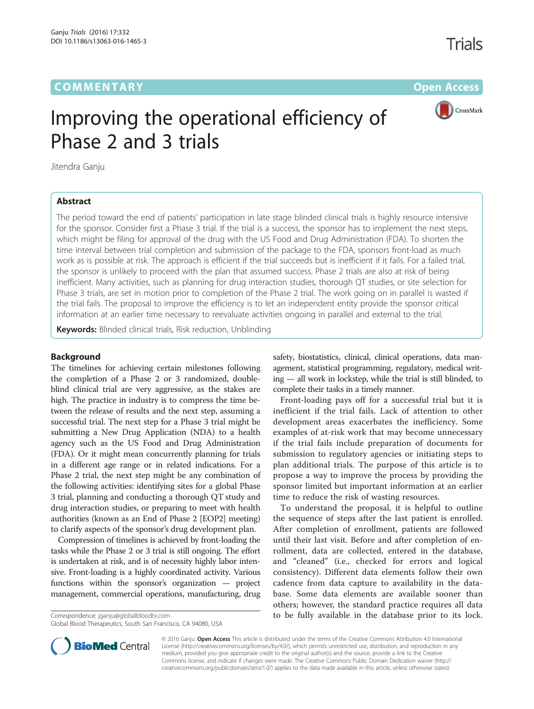# **COMMENTARY** COMMENTARY **COMMENTARY**



# Improving the operational efficiency of Phase 2 and 3 trials

Jitendra Ganju

## Abstract

The period toward the end of patients' participation in late stage blinded clinical trials is highly resource intensive for the sponsor. Consider first a Phase 3 trial. If the trial is a success, the sponsor has to implement the next steps, which might be filing for approval of the drug with the US Food and Drug Administration (FDA). To shorten the time interval between trial completion and submission of the package to the FDA, sponsors front-load as much work as is possible at risk. The approach is efficient if the trial succeeds but is inefficient if it fails. For a failed trial, the sponsor is unlikely to proceed with the plan that assumed success. Phase 2 trials are also at risk of being inefficient. Many activities, such as planning for drug interaction studies, thorough QT studies, or site selection for Phase 3 trials, are set in motion prior to completion of the Phase 2 trial. The work going on in parallel is wasted if the trial fails. The proposal to improve the efficiency is to let an independent entity provide the sponsor critical information at an earlier time necessary to reevaluate activities ongoing in parallel and external to the trial.

Keywords: Blinded clinical trials, Risk reduction, Unblinding

## Background

The timelines for achieving certain milestones following the completion of a Phase 2 or 3 randomized, doubleblind clinical trial are very aggressive, as the stakes are high. The practice in industry is to compress the time between the release of results and the next step, assuming a successful trial. The next step for a Phase 3 trial might be submitting a New Drug Application (NDA) to a health agency such as the US Food and Drug Administration (FDA). Or it might mean concurrently planning for trials in a different age range or in related indications. For a Phase 2 trial, the next step might be any combination of the following activities: identifying sites for a global Phase 3 trial, planning and conducting a thorough QT study and drug interaction studies, or preparing to meet with health authorities (known as an End of Phase 2 [EOP2] meeting) to clarify aspects of the sponsor's drug development plan.

Compression of timelines is achieved by front-loading the tasks while the Phase 2 or 3 trial is still ongoing. The effort is undertaken at risk, and is of necessity highly labor intensive. Front-loading is a highly coordinated activity. Various functions within the sponsor's organization — project management, commercial operations, manufacturing, drug

Global Blood Therapeutics, South San Francisco, CA 94080, USA

safety, biostatistics, clinical, clinical operations, data management, statistical programming, regulatory, medical writing — all work in lockstep, while the trial is still blinded, to complete their tasks in a timely manner.

Front-loading pays off for a successful trial but it is inefficient if the trial fails. Lack of attention to other development areas exacerbates the inefficiency. Some examples of at-risk work that may become unnecessary if the trial fails include preparation of documents for submission to regulatory agencies or initiating steps to plan additional trials. The purpose of this article is to propose a way to improve the process by providing the sponsor limited but important information at an earlier time to reduce the risk of wasting resources.

To understand the proposal, it is helpful to outline the sequence of steps after the last patient is enrolled. After completion of enrollment, patients are followed until their last visit. Before and after completion of enrollment, data are collected, entered in the database, and "cleaned" (i.e., checked for errors and logical consistency). Different data elements follow their own cadence from data capture to availability in the database. Some data elements are available sooner than others; however, the standard practice requires all data Correspondence: [jganju@globalbloodtx.com](mailto:jganju@globalbloodtx.com) **to community** to be fully available in the database prior to its lock.



© 2016 Ganju. Open Access This article is distributed under the terms of the Creative Commons Attribution 4.0 International License ([http://creativecommons.org/licenses/by/4.0/\)](http://creativecommons.org/licenses/by/4.0/), which permits unrestricted use, distribution, and reproduction in any medium, provided you give appropriate credit to the original author(s) and the source, provide a link to the Creative Commons license, and indicate if changes were made. The Creative Commons Public Domain Dedication waiver ([http://](http://creativecommons.org/publicdomain/zero/1.0/) [creativecommons.org/publicdomain/zero/1.0/\)](http://creativecommons.org/publicdomain/zero/1.0/) applies to the data made available in this article, unless otherwise stated.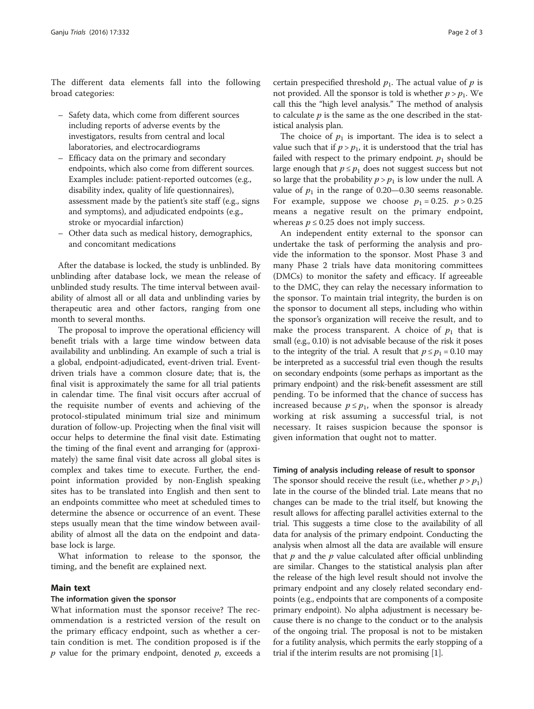The different data elements fall into the following broad categories:

- Safety data, which come from different sources including reports of adverse events by the investigators, results from central and local laboratories, and electrocardiograms
- Efficacy data on the primary and secondary endpoints, which also come from different sources. Examples include: patient-reported outcomes (e.g., disability index, quality of life questionnaires), assessment made by the patient's site staff (e.g., signs and symptoms), and adjudicated endpoints (e.g., stroke or myocardial infarction)
- Other data such as medical history, demographics, and concomitant medications

After the database is locked, the study is unblinded. By unblinding after database lock, we mean the release of unblinded study results. The time interval between availability of almost all or all data and unblinding varies by therapeutic area and other factors, ranging from one month to several months.

The proposal to improve the operational efficiency will benefit trials with a large time window between data availability and unblinding. An example of such a trial is a global, endpoint-adjudicated, event-driven trial. Eventdriven trials have a common closure date; that is, the final visit is approximately the same for all trial patients in calendar time. The final visit occurs after accrual of the requisite number of events and achieving of the protocol-stipulated minimum trial size and minimum duration of follow-up. Projecting when the final visit will occur helps to determine the final visit date. Estimating the timing of the final event and arranging for (approximately) the same final visit date across all global sites is complex and takes time to execute. Further, the endpoint information provided by non-English speaking sites has to be translated into English and then sent to an endpoints committee who meet at scheduled times to determine the absence or occurrence of an event. These steps usually mean that the time window between availability of almost all the data on the endpoint and database lock is large.

What information to release to the sponsor, the timing, and the benefit are explained next.

## Main text

## The information given the sponsor

What information must the sponsor receive? The recommendation is a restricted version of the result on the primary efficacy endpoint, such as whether a certain condition is met. The condition proposed is if the  $p$  value for the primary endpoint, denoted  $p$ , exceeds a

certain prespecified threshold  $p_1$ . The actual value of  $p$  is not provided. All the sponsor is told is whether  $p > p_1$ . We call this the "high level analysis." The method of analysis to calculate  $p$  is the same as the one described in the statistical analysis plan.

The choice of  $p_1$  is important. The idea is to select a value such that if  $p > p_1$ , it is understood that the trial has failed with respect to the primary endpoint.  $p_1$  should be large enough that  $p \leq p_1$  does not suggest success but not so large that the probability  $p > p_1$  is low under the null. A value of  $p_1$  in the range of 0.20–0.30 seems reasonable. For example, suppose we choose  $p_1 = 0.25$ .  $p > 0.25$ means a negative result on the primary endpoint, whereas  $p \leq 0.25$  does not imply success.

An independent entity external to the sponsor can undertake the task of performing the analysis and provide the information to the sponsor. Most Phase 3 and many Phase 2 trials have data monitoring committees (DMCs) to monitor the safety and efficacy. If agreeable to the DMC, they can relay the necessary information to the sponsor. To maintain trial integrity, the burden is on the sponsor to document all steps, including who within the sponsor's organization will receive the result, and to make the process transparent. A choice of  $p_1$  that is small (e.g., 0.10) is not advisable because of the risk it poses to the integrity of the trial. A result that  $p \le p_1 = 0.10$  may be interpreted as a successful trial even though the results on secondary endpoints (some perhaps as important as the primary endpoint) and the risk-benefit assessment are still pending. To be informed that the chance of success has increased because  $p \leq p_1$ , when the sponsor is already working at risk assuming a successful trial, is not necessary. It raises suspicion because the sponsor is given information that ought not to matter.

#### Timing of analysis including release of result to sponsor

The sponsor should receive the result (i.e., whether  $p > p_1$ ) late in the course of the blinded trial. Late means that no changes can be made to the trial itself, but knowing the result allows for affecting parallel activities external to the trial. This suggests a time close to the availability of all data for analysis of the primary endpoint. Conducting the analysis when almost all the data are available will ensure that  $p$  and the  $p$  value calculated after official unblinding are similar. Changes to the statistical analysis plan after the release of the high level result should not involve the primary endpoint and any closely related secondary endpoints (e.g., endpoints that are components of a composite primary endpoint). No alpha adjustment is necessary because there is no change to the conduct or to the analysis of the ongoing trial. The proposal is not to be mistaken for a futility analysis, which permits the early stopping of a trial if the interim results are not promising [\[1](#page-2-0)].